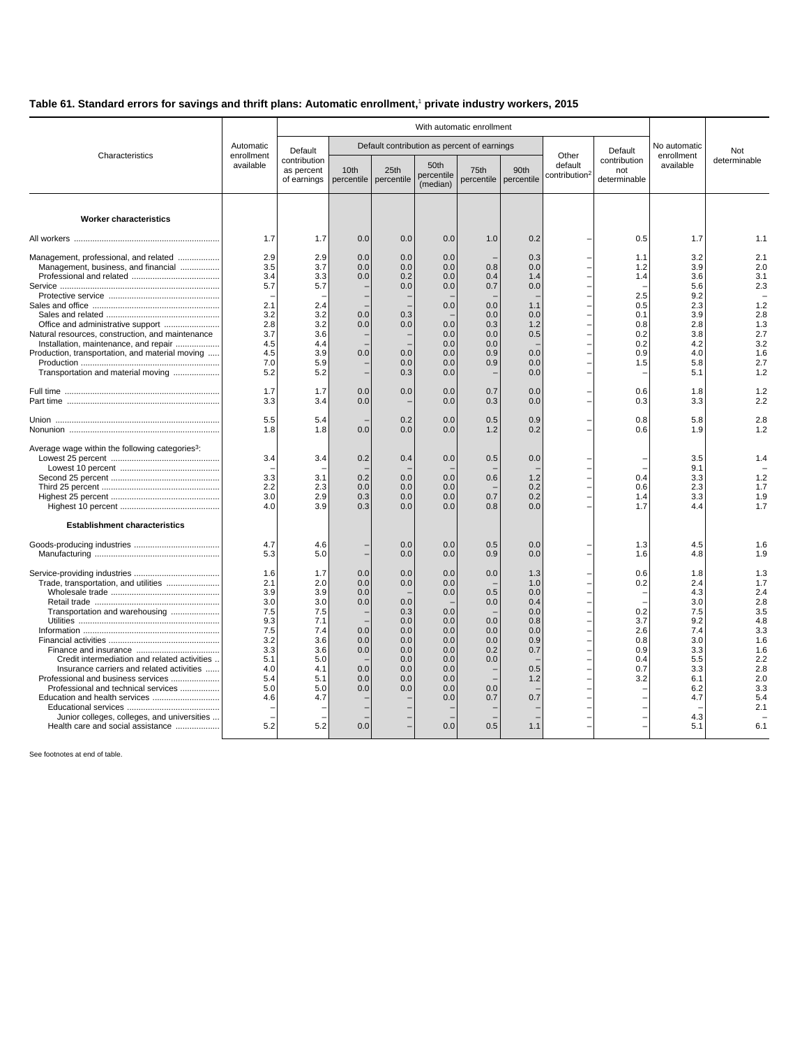## **Table 61. Standard errors for savings and thrift plans: Automatic enrollment,**<sup>1</sup>  **private industry workers, 2015**

|                                                                                                                                                                                                                                                                                                                                                                       | Automatic<br>enrollment<br>available                                                                  | With automatic enrollment                                                                             |                                                                           |                                                                                  |                                                                                                |                                                                                  |                                                                                         |                                               |                                                                                         |                                                                                                              |                                                                                                              |
|-----------------------------------------------------------------------------------------------------------------------------------------------------------------------------------------------------------------------------------------------------------------------------------------------------------------------------------------------------------------------|-------------------------------------------------------------------------------------------------------|-------------------------------------------------------------------------------------------------------|---------------------------------------------------------------------------|----------------------------------------------------------------------------------|------------------------------------------------------------------------------------------------|----------------------------------------------------------------------------------|-----------------------------------------------------------------------------------------|-----------------------------------------------|-----------------------------------------------------------------------------------------|--------------------------------------------------------------------------------------------------------------|--------------------------------------------------------------------------------------------------------------|
| Characteristics                                                                                                                                                                                                                                                                                                                                                       |                                                                                                       | Default                                                                                               |                                                                           |                                                                                  |                                                                                                | Default contribution as percent of earnings                                      |                                                                                         |                                               | Default<br>contribution<br>not<br>determinable                                          | No automatic<br>enrollment<br>available                                                                      | Not<br>determinable                                                                                          |
|                                                                                                                                                                                                                                                                                                                                                                       |                                                                                                       | contribution<br>as percent<br>of earnings                                                             | 10th<br>percentile                                                        | 25th<br>percentile                                                               | 50th<br>percentile<br>(median)                                                                 | 75th                                                                             | 90th<br>percentile percentile                                                           | Other<br>default<br>contribution <sup>2</sup> |                                                                                         |                                                                                                              |                                                                                                              |
| <b>Worker characteristics</b>                                                                                                                                                                                                                                                                                                                                         |                                                                                                       |                                                                                                       |                                                                           |                                                                                  |                                                                                                |                                                                                  |                                                                                         |                                               |                                                                                         |                                                                                                              |                                                                                                              |
|                                                                                                                                                                                                                                                                                                                                                                       | 1.7                                                                                                   | 1.7                                                                                                   | 0.0                                                                       | 0.0                                                                              | 0.0                                                                                            | 1.0                                                                              | 0.2                                                                                     |                                               | 0.5                                                                                     | 1.7                                                                                                          | 1.1                                                                                                          |
| Management, professional, and related<br>Management, business, and financial<br>Natural resources, construction, and maintenance<br>Installation, maintenance, and repair<br>Production, transportation, and material moving<br>Transportation and material moving                                                                                                    | 2.9<br>3.5<br>3.4<br>5.7<br>2.1<br>3.2<br>2.8<br>3.7<br>4.5<br>4.5<br>7.0<br>5.2<br>1.7<br>3.3        | 2.9<br>3.7<br>3.3<br>5.7<br>2.4<br>3.2<br>3.2<br>3.6<br>4.4<br>3.9<br>5.9<br>5.2<br>1.7<br>3.4        | 0.0<br>0.0<br>0.0<br>0.0<br>0.0<br>0.0<br>0.0<br>0.0                      | 0.0<br>0.0<br>0.2<br>0.0<br>0.3<br>0.0<br>0.0<br>0.0<br>0.3<br>0.0               | 0.0<br>0.0<br>0.0<br>0.0<br>0.0<br>0.0<br>0.0<br>0.0<br>0.0<br>0.0<br>0.0<br>0.0<br>0.0        | 0.8<br>0.4<br>0.7<br>0.0<br>0.0<br>0.3<br>0.0<br>0.0<br>0.9<br>0.9<br>0.7<br>0.3 | 0.3<br>0.0<br>1.4<br>0.0<br>1.1<br>0.0<br>1.2<br>0.5<br>0.0<br>0.0<br>0.0<br>0.0<br>0.0 |                                               | 1.1<br>1.2<br>1.4<br>2.5<br>0.5<br>0.1<br>0.8<br>0.2<br>0.2<br>0.9<br>1.5<br>0.6<br>0.3 | 3.2<br>3.9<br>3.6<br>5.6<br>9.2<br>2.3<br>3.9<br>2.8<br>3.8<br>4.2<br>4.0<br>5.8<br>5.1<br>1.8<br>3.3        | 2.1<br>2.0<br>3.1<br>2.3<br>1.2<br>2.8<br>1.3<br>2.7<br>3.2<br>1.6<br>2.7<br>1.2<br>1.2<br>2.2               |
|                                                                                                                                                                                                                                                                                                                                                                       |                                                                                                       |                                                                                                       |                                                                           |                                                                                  |                                                                                                |                                                                                  |                                                                                         |                                               |                                                                                         |                                                                                                              |                                                                                                              |
|                                                                                                                                                                                                                                                                                                                                                                       | 5.5<br>1.8                                                                                            | 5.4<br>1.8                                                                                            | 0.0                                                                       | 0.2<br>0.0                                                                       | 0.0<br>0.0                                                                                     | 0.5<br>1.2                                                                       | 0.9<br>0.2                                                                              |                                               | 0.8<br>0.6                                                                              | 5.8<br>1.9                                                                                                   | 2.8<br>1.2                                                                                                   |
| Average wage within the following categories <sup>3</sup> :<br><b>Establishment characteristics</b>                                                                                                                                                                                                                                                                   | 3.4<br>3.3<br>2.2<br>3.0<br>4.0                                                                       | 3.4<br>3.1<br>2.3<br>2.9<br>3.9                                                                       | 0.2<br>0.2<br>0.0<br>0.3<br>0.3                                           | 0.4<br>0.0<br>0.0<br>0.0<br>0.0                                                  | 0.0<br>0.0<br>0.0<br>0.0<br>0.0                                                                | 0.5<br>0.6<br>0.7<br>0.8                                                         | 0.0<br>1.2<br>0.2<br>0.2<br>0.0                                                         |                                               | 0.4<br>0.6<br>1.4<br>1.7                                                                | 3.5<br>9.1<br>3.3<br>2.3<br>3.3<br>4.4                                                                       | 1.4<br>1.2<br>1.7<br>1.9<br>1.7                                                                              |
|                                                                                                                                                                                                                                                                                                                                                                       | 4.7<br>5.3                                                                                            | 4.6<br>5.0                                                                                            |                                                                           | 0.0<br>0.0                                                                       | 0.0<br>0.0                                                                                     | 0.5<br>0.9                                                                       | 0.0<br>0.0                                                                              |                                               | 1.3<br>1.6                                                                              | 4.5<br>4.8                                                                                                   | 1.6<br>1.9                                                                                                   |
| Trade, transportation, and utilities<br>Transportation and warehousing<br>Credit intermediation and related activities<br>Insurance carriers and related activities<br>Professional and business services<br>Professional and technical services<br>Education and health services<br>Junior colleges, colleges, and universities<br>Health care and social assistance | 1.6<br>2.1<br>3.9<br>3.0<br>7.5<br>9.3<br>7.5<br>3.2<br>3.3<br>5.1<br>4.0<br>5.4<br>5.0<br>4.6<br>5.2 | 1.7<br>2.0<br>3.9<br>3.0<br>7.5<br>7.1<br>7.4<br>3.6<br>3.6<br>5.0<br>4.1<br>5.1<br>5.0<br>4.7<br>5.2 | 0.0<br>0.0<br>0.0<br>0.0<br>0.0<br>0.0<br>0.0<br>0.0<br>0.0<br>0.0<br>0.0 | 0.0<br>0.0<br>0.0<br>0.3<br>0.0<br>0.0<br>0.0<br>0.0<br>0.0<br>0.0<br>0.0<br>0.0 | 0.0<br>0.0<br>0.0<br>0.0<br>0.0<br>0.0<br>0.0<br>0.0<br>0.0<br>0.0<br>0.0<br>0.0<br>0.0<br>0.0 | 0.0<br>0.5<br>0.0<br>0.0<br>0.0<br>0.0<br>0.2<br>0.0<br>0.0<br>0.7<br>0.5        | 1.3<br>1.0<br>0.0<br>0.4<br>0.0<br>0.8<br>0.0<br>0.9<br>0.7<br>0.5<br>1.2<br>0.7<br>1.1 |                                               | 0.6<br>0.2<br>0.2<br>3.7<br>2.6<br>0.8<br>0.9<br>0.4<br>0.7<br>3.2                      | 1.8<br>2.4<br>4.3<br>3.0<br>7.5<br>9.2<br>7.4<br>3.0<br>3.3<br>5.5<br>3.3<br>6.1<br>6.2<br>4.7<br>4.3<br>5.1 | 1.3<br>1.7<br>2.4<br>2.8<br>3.5<br>4.8<br>3.3<br>1.6<br>1.6<br>2.2<br>2.8<br>2.0<br>3.3<br>5.4<br>2.1<br>6.1 |

See footnotes at end of table.